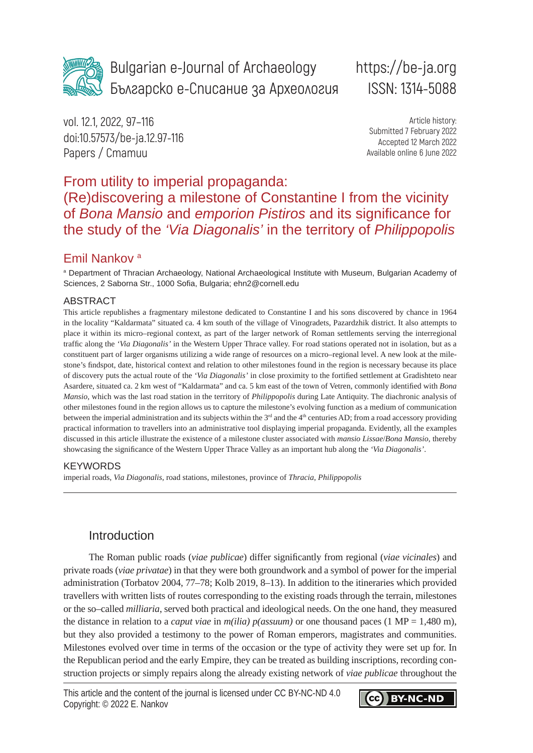

Bulgarian e-Journal of Archaeology Българско е-Списание за Археология

# https://be-ja.org ISSN: 1314-5088

vol. 12.1, 2022, 97–116 doi:10.57573/be-ja.12.97-116 Papers / Cmamuu

Article history: Submitted 7 February 2022 Accepted 12 March 2022 Available online 6 June 2022

# From utility to imperial propaganda: (Re)discovering a milestone of Constantine I from the vicinity of *Bona Mansio* and *emporion Pistiros* and its significance for the study of the *'Via Diagonalis'* in the territory of *Philippopolis*

### Emil Nankov a

a Department of Thracian Archaeology, National Archaeological Institute with Museum, Bulgarian Academy of Sciences, 2 Saborna Str., 1000 Sofia, Bulgaria; [ehn2@cornell.edu](about:blank)

### ABSTRACT

This article republishes a fragmentary milestone dedicated to Constantine I and his sons discovered by chance in 1964 in the locality "Kaldarmata" situated ca. 4 km south of the village of Vinogradets, Pazardzhik district. It also attempts to place it within its micro–regional context, as part of the larger network of Roman settlements serving the interregional traffic along the *'Via Diagonalis'* in the Western Upper Thrace valley. For road stations operated not in isolation, but as a constituent part of larger organisms utilizing a wide range of resources on a micro–regional level. A new look at the milestone's findspot, date, historical context and relation to other milestones found in the region is necessary because its place of discovery puts the actual route of the *'Via Diagonalis'* in close proximity to the fortified settlement at Gradishteto near Asardere, situated ca. 2 km west of "Kaldarmata" and ca. 5 km east of the town of Vetren, commonly identified with *Bona Mansio*, which was the last road station in the territory of *Philippopolis* during Late Antiquity. The diachronic analysis of other milestones found in the region allows us to capture the milestone's evolving function as a medium of communication between the imperial administration and its subjects within the 3<sup>rd</sup> and the 4<sup>th</sup> centuries AD; from a road accessory providing practical information to travellers into an administrative tool displaying imperial propaganda. Evidently, all the examples discussed in this article illustrate the existence of a milestone cluster associated with *mansio Lissae*/*Bona Mansio*, thereby showcasing the significance of the Western Upper Thrace Valley as an important hub along the *'Via Diagonalis'*.

### **KEYWORDS**

imperial roads, *Via Diagonalis*, road stations, milestones, province of *Thracia*, *Philippopolis*

### Introduction

The Roman public roads (*viae publicae*) differ significantly from regional (*viae vicinales*) and private roads (*viae privatae*) in that they were both groundwork and a symbol of power for the imperial administration (Torbatov 2004, 77–78; Kolb 2019, 8–13). In addition to the itineraries which provided travellers with written lists of routes corresponding to the existing roads through the terrain, milestones or the so–called *milliaria*, served both practical and ideological needs. On the one hand, they measured the distance in relation to a *caput viae* in *m(ilia) p(assuum)* or one thousand paces (1 MP = 1,480 m), but they also provided a testimony to the power of Roman emperors, magistrates and communities. Milestones evolved over time in terms of the occasion or the type of activity they were set up for. In the Republican period and the early Empire, they can be treated as building inscriptions, recording construction projects or simply repairs along the already existing network of *viae publicae* throughout the

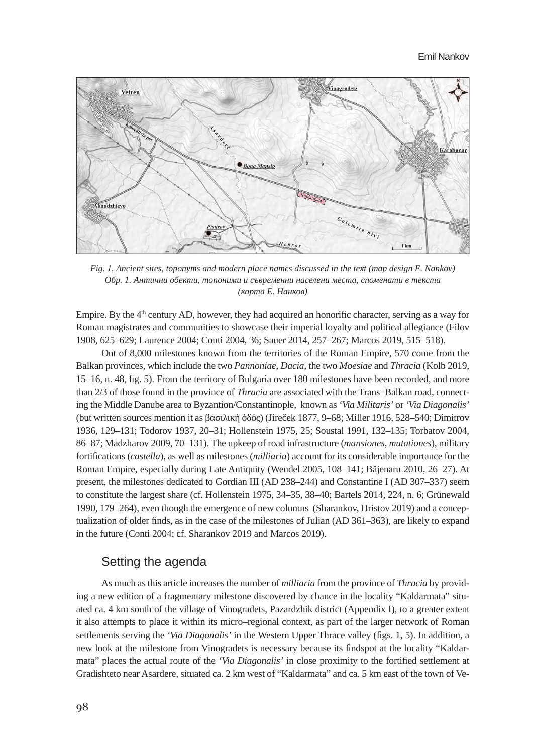

*Fig. 1. Ancient sites, toponyms and modern place names discussed in the text (map design E. Nankov) Обр. 1. Антични обекти, топоними и съвременни населени места, споменати в текста (карта Е. Нанков)*

Empire. By the  $4<sup>th</sup>$  century AD, however, they had acquired an honorific character, serving as a way for Roman magistrates and communities to showcase their imperial loyalty and political allegiance (Filov 1908, 625–629; Laurence 2004; Conti 2004, 36; Sauer 2014, 257–267; Marcos 2019, 515–518).

Out of 8,000 milestones known from the territories of the Roman Empire, 570 come from the Balkan provinces, which include the two *Pannoniae*, *Dacia*, the two *Moesiae* and *Thracia* (Kolb 2019, 15–16, n. 48, fig. 5). From the territory of Bulgaria over 180 milestones have been recorded, and more than 2/3 of those found in the province of *Thracia* are associated with the Trans–Balkan road, connecting the Middle Danube area to Byzantion/Constantinople, known as *'Via Militaris'* or *'Via Diagonalis'* (but written sources mention it as βασιλικὴ ὁδός) (Jireček 1877, 9–68; Miller 1916, 528–540; Dimitrov 1936, 129–131; Todorov 1937, 20–31; Hollenstein 1975, 25; Soustal 1991, 132–135; Torbatov 2004, 86–87; Madzharov 2009, 70–131). The upkeep of road infrastructure (*mansiones*, *mutationes*), military fortifications (*castella*), as well as milestones (*milliaria*) account for its considerable importance for the Roman Empire, especially during Late Antiquity (Wendel 2005, 108–141; Băjenaru 2010, 26–27). At present, the milestones dedicated to Gordian III (AD 238–244) and Constantine I (AD 307–337) seem to constitute the largest share (cf. Hollenstein 1975, 34–35, 38–40; Bartels 2014, 224, n. 6; Grünewald 1990, 179–264), even though the emergence of new columns (Sharankov, Hristov 2019) and a conceptualization of older finds, as in the case of the milestones of Julian (AD 361–363), are likely to expand in the future (Conti 2004; cf. Sharankov 2019 and Marcos 2019).

### Setting the agenda

As much as this article increases the number of *milliaria* from the province of *Thracia* by providing a new edition of a fragmentary milestone discovered by chance in the locality "Kaldarmata" situated ca. 4 km south of the village of Vinogradets, Pazardzhik district (Appendix I), to a greater extent it also attempts to place it within its micro–regional context, as part of the larger network of Roman settlements serving the *'Via Diagonalis'* in the Western Upper Thrace valley (figs. 1, 5). In addition, a new look at the milestone from Vinogradets is necessary because its findspot at the locality "Kaldarmata" places the actual route of the *'Via Diagonalis'* in close proximity to the fortified settlement at Gradishteto near Asardere, situated ca. 2 km west of "Kaldarmata" and ca. 5 km east of the town of Ve-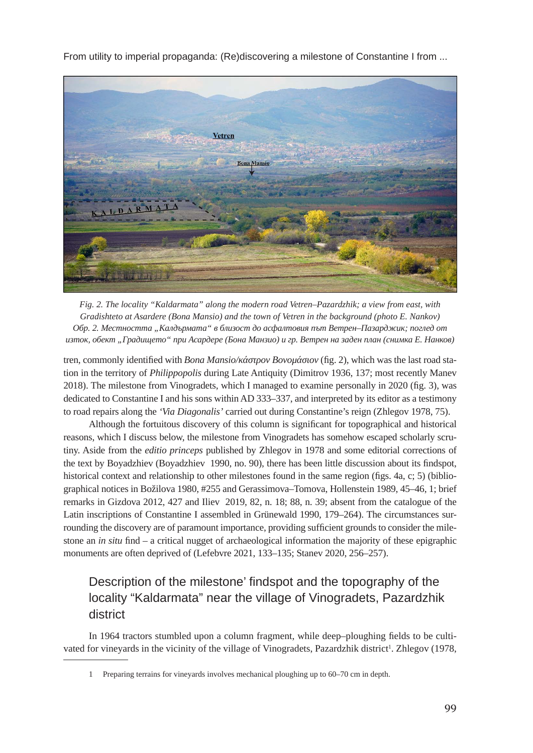

*Fig. 2. The locality "Kaldarmata" along the modern road Vetren–Pazardzhik; a view from east, with Gradishteto at Asardere (Bona Mansio) and the town of Vetren in the background (photo E. Nankov) Обр. 2. Местността "Калдърмата" в близост до асфалтовия път Ветрен–Пазарджик; поглед от изток, обект "Градището" при Асардере (Бона Манзио) и гр. Ветрен на заден план (снимка Е. Нанков)*

tren, commonly identified with *Bona Mansio/κάστρον Βονομάσιον* (fig. 2), which was the last road station in the territory of *Philippopolis* during Late Antiquity (Dimitrov 1936, 137; most recently Manev 2018). The milestone from Vinogradets, which I managed to examine personally in 2020 (fig. 3), was dedicated to Constantine I and his sons within AD 333–337, and interpreted by its editor as a testimony to road repairs along the *'Via Diagonalis'* carried out during Constantine's reign (Zhlegov 1978, 75).

Although the fortuitous discovery of this column is significant for topographical and historical reasons, which I discuss below, the milestone from Vinogradets has somehow escaped scholarly scrutiny. Aside from the *editio princeps* published by Zhlegov in 1978 and some editorial corrections of the text by Boyadzhiev (Boyadzhiev 1990, no. 90), there has been little discussion about its findspot, historical context and relationship to other milestones found in the same region (figs. 4a, c; 5) (bibliographical notices in Božilova 1980, #255 and Gerassimova–Tomova, Hollenstein 1989, 45–46, 1; brief remarks in Gizdova 2012, 427 and Iliev 2019, 82, n. 18; 88, n. 39; absent from the catalogue of the Latin inscriptions of Constantine I assembled in Grünewald 1990, 179–264). The circumstances surrounding the discovery are of paramount importance, providing sufficient grounds to consider the milestone an *in situ* find – a critical nugget of archaeological information the majority of these epigraphic monuments are often deprived of (Lefebvre 2021, 133–135; Stanev 2020, 256–257).

# Description of the milestone' findspot and the topography of the locality "Kaldarmata" near the village of Vinogradets, Pazardzhik district

In 1964 tractors stumbled upon a column fragment, while deep–ploughing fields to be cultivated for vineyards in the vicinity of the village of Vinogradets, Pazardzhik district<sup>1</sup>. Zhlegov (1978,

<sup>1</sup> Preparing terrains for vineyards involves mechanical ploughing up to 60–70 cm in depth.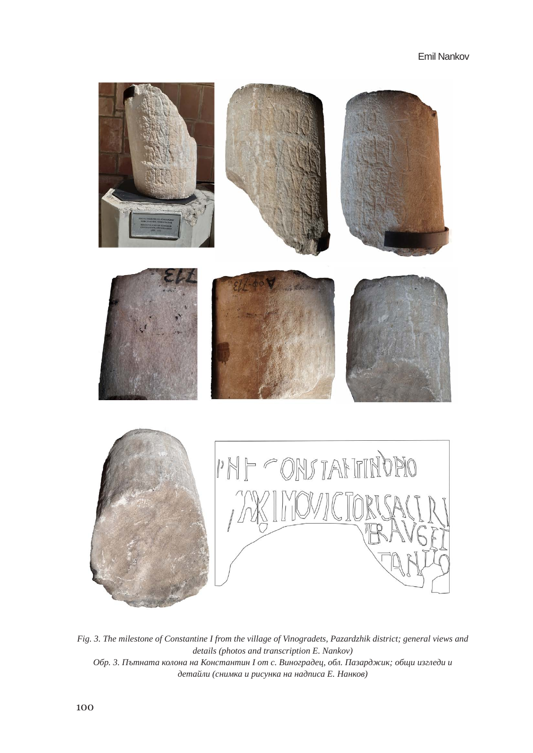

*Fig. 3. The milestone of Constantine I from the village of Vinogradets, Pazardzhik district; general views and details (photos and transcription E. Nankov) Обр. 3. Пътната колона на Константин I от с. Виноградец, обл. Пазарджик; общи изгледи и детайли (снимка и рисунка на надписа Е. Нанков)*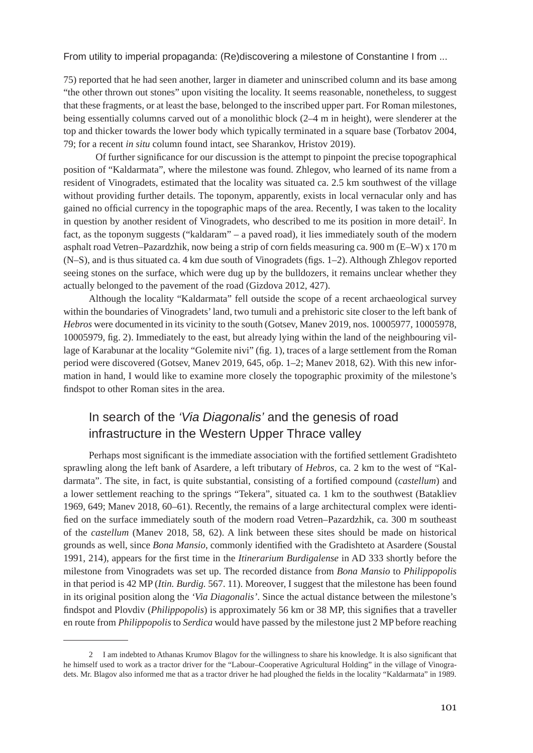75) reported that he had seen another, larger in diameter and uninscribed column and its base among "the other thrown out stones" upon visiting the locality. It seems reasonable, nonetheless, to suggest that these fragments, or at least the base, belonged to the inscribed upper part. For Roman milestones, being essentially columns carved out of a monolithic block (2–4 m in height), were slenderer at the top and thicker towards the lower body which typically terminated in a square base (Torbatov 2004, 79; for a recent *in situ* column found intact, see Sharankov, Hristov 2019).

Of further significance for our discussion is the attempt to pinpoint the precise topographical position of "Kaldarmata", where the milestone was found. Zhlegov, who learned of its name from a resident of Vinogradets, estimated that the locality was situated ca. 2.5 km southwest of the village without providing further details. The toponym, apparently, exists in local vernacular only and has gained no official currency in the topographic maps of the area. Recently, I was taken to the locality in question by another resident of Vinogradets, who described to me its position in more detail<sup>2</sup>. In fact, as the toponym suggests ("kaldaram" – a paved road), it lies immediately south of the modern asphalt road Vetren–Pazardzhik, now being a strip of corn fields measuring ca. 900 m (E–W) x 170 m (N–S), and is thus situated ca. 4 km due south of Vinogradets (figs. 1–2). Although Zhlegov reported seeing stones on the surface, which were dug up by the bulldozers, it remains unclear whether they actually belonged to the pavement of the road (Gizdova 2012, 427).

Although the locality "Kaldarmata" fell outside the scope of a recent archaeological survey within the boundaries of Vinogradets' land, two tumuli and a prehistoric site closer to the left bank of *Hebros* were documented in its vicinity to the south (Gotsev, Manev 2019, nos. 10005977, 10005978, 10005979, fig. 2). Immediately to the east, but already lying within the land of the neighbouring village of Karabunar at the locality "Golemite nivi" (fig. 1), traces of a large settlement from the Roman period were discovered (Gotsev, Manev 2019, 645, обр. 1–2; Manev 2018, 62). With this new information in hand, I would like to examine more closely the topographic proximity of the milestone's findspot to other Roman sites in the area.

# In search of the *'Via Diagonalis'* and the genesis of road infrastructure in the Western Upper Thrace valley

Perhaps most significant is the immediate association with the fortified settlement Gradishteto sprawling along the left bank of Asardere, a left tributary of *Hebros*, ca. 2 km to the west of "Kaldarmata". The site, in fact, is quite substantial, consisting of a fortified compound (*castellum*) and a lower settlement reaching to the springs "Tekera", situated ca. 1 km to the southwest (Batakliev 1969, 649; Manev 2018, 60–61). Recently, the remains of a large architectural complex were identified on the surface immediately south of the modern road Vetren–Pazardzhik, ca. 300 m southeast of the *castellum* (Manev 2018, 58, 62). A link between these sites should be made on historical grounds as well, since *Bona Mansio*, commonly identified with the Gradishteto at Asardere (Soustal 1991, 214), appears for the first time in the *Itinerarium Burdigalense* in AD 333 shortly before the milestone from Vinogradets was set up. The recorded distance from *Bona Mansio* to *Philippopolis* in that period is 42 MP (*Itin. Burdig.* 567. 11). Moreover, I suggest that the milestone has been found in its original position along the *'Via Diagonalis'*. Since the actual distance between the milestone's findspot and Plovdiv (*Philippopolis*) is approximately 56 km or 38 MP, this signifies that a traveller en route from *Philippopolis* to *Serdica* would have passed by the milestone just 2 MP before reaching

<sup>2</sup> I am indebted to Athanas Krumov Blagov for the willingness to share his knowledge. It is also significant that he himself used to work as a tractor driver for the "Labour–Cooperative Agricultural Holding" in the village of Vinogradets. Mr. Blagov also informed me that as a tractor driver he had ploughed the fields in the locality "Kaldarmata" in 1989.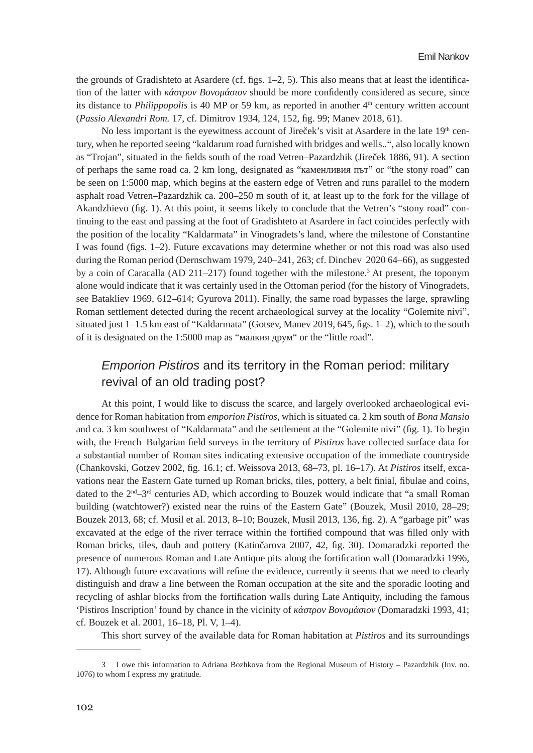the grounds of Gradishteto at Asardere (cf. figs. 1–2, 5). This also means that at least the identification of the latter with *κάστρον Βονομάσιον* should be more confidently considered as secure, since its distance to *Philippopolis* is 40 MP or 59 km, as reported in another 4<sup>th</sup> century written account (*Passio Alexandri Rom.* 17, cf. Dimitrov 1934, 124, 152, fig. 99; Manev 2018, 61).

No less important is the eyewitness account of Jireček's visit at Asardere in the late  $19<sup>th</sup>$  century, when he reported seeing "kaldarum road furnished with bridges and wells..", also locally known as "Trojan", situated in the fields south of the road Vetren–Pazardzhik (Jireček 1886, 91). А section of perhaps the same road ca. 2 km long, designated as "каменливия път" or "the stony road" can be seen on 1:5000 map, which begins at the eastern edge of Vetren and runs parallel to the modern asphalt road Vetren–Pazardzhik ca. 200–250 m south of it, at least up to the fork for the village of Akandzhievo (fig. 1). At this point, it seems likely to conclude that the Vetren's "stony road" continuing to the east and passing at the foot of Gradishteto at Asardere in fact coincides perfectly with the position of the locality "Kaldarmata" in Vinogradets's land, where the milestone of Constantine I was found (figs. 1–2). Future excavations may determine whether or not this road was also used during the Roman period (Dernschwam 1979, 240–241, 263; cf. Dinchev 2020 64–66), as suggested by a coin of Caracalla (AD 211–217) found together with the milestone.<sup>3</sup> At present, the toponym alone would indicate that it was certainly used in the Ottoman period (for the history of Vinogradets, see Batakliev 1969, 612–614; Gyurova 2011). Finally, the same road bypasses the large, sprawling Roman settlement detected during the recent archaeological survey at the locality "Golemite nivi", situated just 1–1.5 km east of "Kaldarmata" (Gotsev, Manev 2019, 645, figs. 1–2), which to the south of it is designated on the 1:5000 map as "малкия друм" or the "little road".

### *Emporion Pistiros* and its territory in the Roman period: military revival of an old trading post?

At this point, I would like to discuss the scarce, and largely overlooked archaeological evidence for Roman habitation from *emporion Pistiros*, which is situated ca. 2 km south of *Bona Mansio* and ca. 3 km southwest of "Kaldarmata" and the settlement at the "Golemite nivi" (fig. 1). To begin with, the French–Bulgarian field surveys in the territory of *Pistiros* have collected surface data for a substantial number of Roman sites indicating extensive occupation of the immediate countryside (Chankovski, Gotzev 2002, fig. 16.1; cf. Weissova 2013, 68–73, pl. 16–17). At *Pistiros* itself, excavations near the Eastern Gate turned up Roman bricks, tiles, pottery, a belt finial, fibulae and coins, dated to the  $2<sup>nd</sup>$ –3<sup>rd</sup> centuries AD, which according to Bouzek would indicate that "a small Roman building (watchtower?) existed near the ruins of the Eastern Gate" (Bouzek, Musil 2010, 28–29; Bouzek 2013, 68; cf. Musil et al. 2013, 8–10; Bouzek, Musil 2013, 136, fig. 2). A "garbage pit" was excavated at the edge of the river terrace within the fortified compound that was filled only with Roman bricks, tiles, daub and pottery (Katinčarova 2007, 42, fig. 30). Domaradzki reported the presence of numerous Roman and Late Antique pits along the fortification wall (Domaradzki 1996, 17). Although future excavations will refine the evidence, currently it seems that we need to clearly distinguish and draw a line between the Roman occupation at the site and the sporadic looting and recycling of ashlar blocks from the fortification walls during Late Antiquity, including the famous 'Pistiros Inscription' found by chance in the vicinity of *κάστρον Βονομάσιον* (Domaradzki 1993, 41; cf. Bouzek et al. 2001, 16–18, Pl. V, 1–4).

This short survey of the available data for Roman habitation at *Pistiros* and its surroundings

<sup>3</sup> I owe this information to Adriana Bozhkova from the Regional Museum of History – Pazardzhik (Inv. no. 1076) to whom I express my gratitude.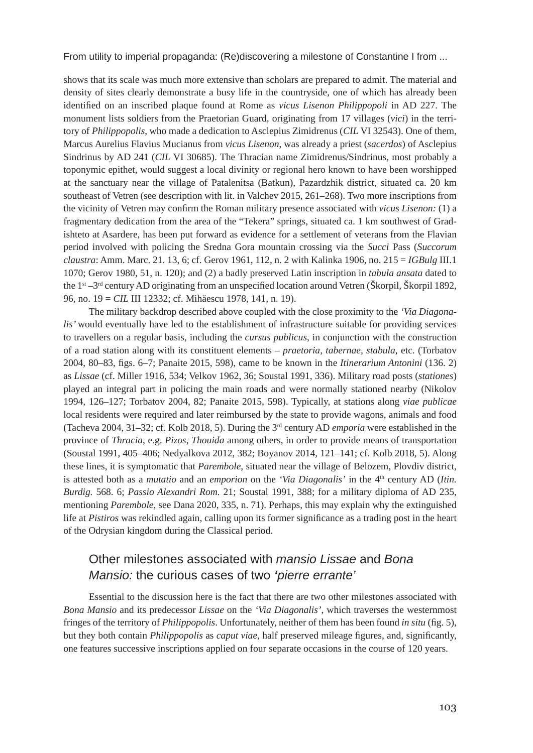shows that its scale was much more extensive than scholars are prepared to admit. The material and density of sites clearly demonstrate a busy life in the countryside, one of which has already been identified on an inscribed plaque found at Rome as *vicus Lisenon Philippopoli* in AD 227. The monument lists soldiers from the Praetorian Guard, originating from 17 villages (*vici*) in the territory of *Philippopolis*, who made a dedication to Asclepius Zimidrenus (*CIL* VI 32543). One of them, Marcus Aurelius Flavius Mucianus from *vicus Lisenon*, was already a priest (*sacerdos*) of Asclepius Sindrinus by AD 241 (*CIL* VI 30685). The Thracian name Zimidrenus/Sindrinus, most probably a toponymic epithet, would suggest a local divinity or regional hero known to have been worshipped at the sanctuary near the village of Patalenitsa (Batkun), Pazardzhik district, situated ca. 20 km southeast of Vetren (see description with lit. in Valchev 2015, 261–268). Two more inscriptions from the vicinity of Vetren may confirm the Roman military presence associated with *vicus Lisenon:* (1) а fragmentary dedication from the area of the "Tekera" springs, situated ca. 1 km southwest of Gradishteto at Asardere, has been put forward as evidence for a settlement of veterans from the Flavian period involved with policing the Sredna Gora mountain crossing via the *Succi* Pass (*Succorum claustra*: Amm. Marc. 21. 13, 6; cf. Gerov 1961, 112, n. 2 with Kalinka 1906, no. 215 = *IGBulg* III.1 1070; Gerov 1980, 51, n. 120); and (2) a badly preserved Latin inscription in *tabula ansata* dated to the 1st –3rd century AD originating from an unspecified location around Vetren (Škorpil, Škorpil 1892, 96, no. 19 = *CIL* III 12332; cf. Mihăescu 1978, 141, n. 19).

The military backdrop described above coupled with the close proximity to the *'Via Diagonalis'* would eventually have led to the establishment of infrastructure suitable for providing services to travellers on a regular basis, including the *cursus publicus*, in conjunction with the construction of a road station along with its constituent elements – *praetoria*, *tabernae*, *stabula*, etc. (Torbatov 2004, 80–83, figs. 6–7; Panaite 2015, 598), came to be known in the *Itinerarium Antonini* (136. 2) as *Lissae* (cf. Miller 1916, 534; Velkov 1962, 36; Soustal 1991, 336). Military road posts (*stationes*) played an integral part in policing the main roads and were normally stationed nearby (Nikolov 1994, 126–127; Torbatov 2004, 82; Panaite 2015, 598). Typically, at stations along *viae publicae*  local residents were required and later reimbursed by the state to provide wagons, animals and food (Tacheva 2004, 31–32; cf. Kolb 2018, 5). During the 3rd century AD *emporia* were established in the province of *Thracia*, e.g. *Pizos*, *Thouida* among others, in order to provide means of transportation (Soustal 1991, 405–406; Nedyalkova 2012, 382; Boyanov 2014, 121–141; cf. Kolb 2018, 5). Along these lines, it is symptomatic that *Parembole*, situated near the village of Belozem, Plovdiv district, is attested both as a *mutatio* and an *emporion* on the *'Via Diagonalis'* in the 4<sup>th</sup> century AD (*Itin. Burdig.* 568. 6; *Passio Alexandri Rom.* 21; Soustal 1991, 388; for a military diploma of AD 235, mentioning *Parembole*, see Dana 2020, 335, n. 71). Perhaps, this may explain why the extinguished life at *Pistiros* was rekindled again, calling upon its former significance as a trading post in the heart of the Odrysian kingdom during the Classical period.

# Other milestones associated with *mansio Lissae* and *Bona Mansio:* the curious cases of two *'pierre errante'*

Essential to the discussion here is the fact that there are two other milestones associated with *Bona Mansio* and its predecessor *Lissae* on the *'Via Diagonalis'*, which traverses the westernmost fringes of the territory of *Philippopolis*. Unfortunately, neither of them has been found *in situ* (fig. 5), but they both contain *Philippopolis* as *caput viae*, half preserved mileage figures, and, significantly, one features successive inscriptions applied on four separate occasions in the course of 120 years.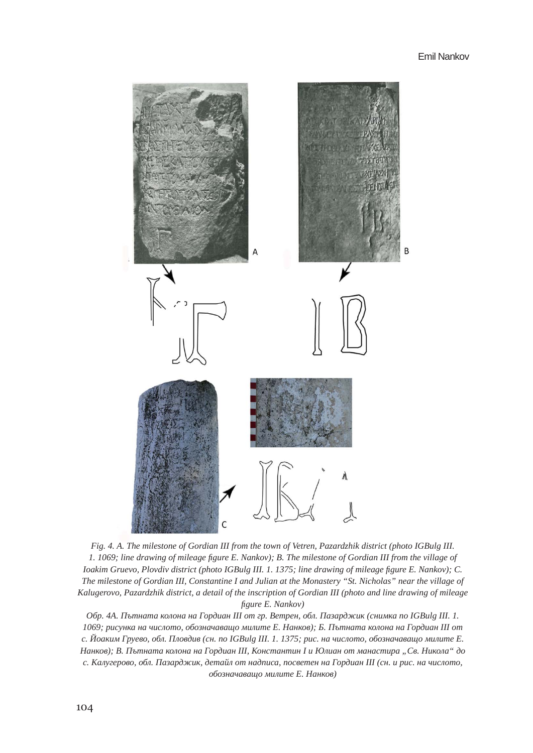

*Fig. 4. A. The milestone of Gordian III from the town of Vetren, Pazardzhik district (photo IGBulg III. 1. 1069; line drawing of mileage figure E. Nankov); B. The milestone of Gordian III from the village of Ioakim Gruevo, Plovdiv district (photo IGBulg III. 1. 1375; line drawing of mileage figure E. Nankov); C. The milestone of Gordian III, Constantine I and Julian at the Monastery "St. Nicholas" near the village of Kalugerovo, Pazardzhik district, a detail of the inscription of Gordian III (photo and line drawing of mileage figure E. Nankov)*

*Обр. 4А. Пътната колона на Гордиан III от гр. Ветрен, обл. Пазарджик (снимка по IGBulg III. 1. 1069; рисунка на числото, обозначаващо милите Е. Нанков); Б. Пътната колона на Гордиан III от с. Йоаким Груево, обл. Пловдив (сн. по IGBulg III. 1. 1375; рис. на числото, обозначаващо милите Е. Нанков); В. Пътната колона на Гордиан III, Константин I и Юлиан от манастира "Св. Никола" до с. Калугерово, обл. Пазарджик, детайл от надписа, посветен на Гордиан III (сн. и рис. на числото, обозначаващо милите Е. Нанков)*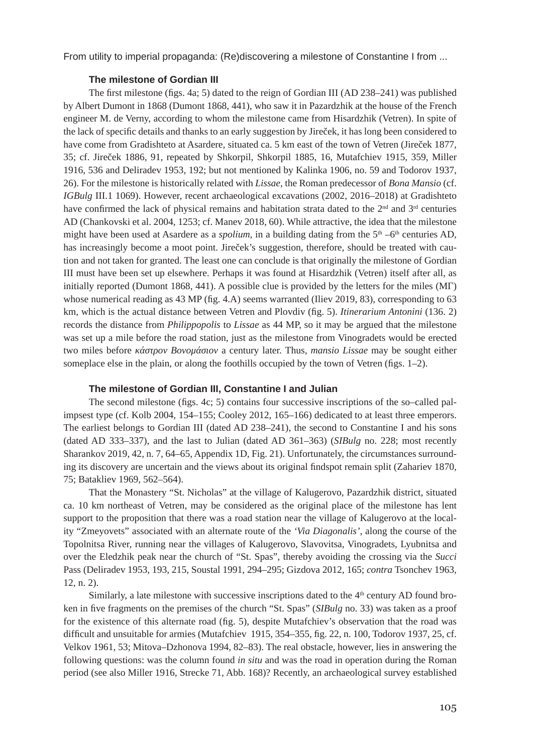### **The milestone of Gordian III**

The first milestone (figs. 4a; 5) dated to the reign of Gordian III (AD 238–241) was published by Albert Dumont in 1868 (Dumont 1868, 441), who saw it in Pazardzhik at the house of the French engineer M. de Verny, according to whom the milestone came from Hisardzhik (Vetren). In spite of the lack of specific details and thanks to an early suggestion by Jireček, it has long been considered to have come from Gradishteto at Asardere, situated ca. 5 km east of the town of Vetren (Jireček 1877, 35; cf. Jireček 1886, 91, repeated by Shkorpil, Shkorpil 1885, 16, Mutafchiev 1915, 359, Miller 1916, 536 and Deliradev 1953, 192; but not mentioned by Kalinka 1906, no. 59 and Todorov 1937, 26). For the milestone is historically related with *Lissae*, the Roman predecessor of *Bona Mansio* (cf. *IGBulg* III.1 1069). However, recent archaeological excavations (2002, 2016–2018) at Gradishteto have confirmed the lack of physical remains and habitation strata dated to the  $2<sup>nd</sup>$  and  $3<sup>rd</sup>$  centuries AD (Chankovski et al. 2004, 1253; cf. Manev 2018, 60). While attractive, the idea that the milestone might have been used at Asardere as a *spolium*, in a building dating from the  $5<sup>th</sup> - 6<sup>th</sup>$  centuries AD, has increasingly become a moot point. Jireček's suggestion, therefore, should be treated with caution and not taken for granted. The least one can conclude is that originally the milestone of Gordian III must have been set up elsewhere. Perhaps it was found at Hisardzhik (Vetren) itself after all, as initially reported (Dumont 1868, 441). A possible clue is provided by the letters for the miles (ΜΓ) whose numerical reading as 43 MP (fig. 4.A) seems warranted (Iliev 2019, 83), corresponding to 63 km, which is the actual distance between Vetren and Plovdiv (fig. 5). *Itinerarium Antonini* (136. 2) records the distance from *Philippopolis* to *Lissae* as 44 MP, so it may be argued that the milestone was set up a mile before the road station, just as the milestone from Vinogradets would be erected two miles before *κάστρον Βονομάσιον* a century later. Thus, *mansio Lissae* may be sought either someplace else in the plain, or along the foothills occupied by the town of Vetren (figs. 1–2).

### **The milestone of Gordian III, Constantine I and Julian**

The second milestone (figs. 4c; 5) contains four successive inscriptions of the so–called palimpsest type (cf. Kolb 2004, 154–155; Cooley 2012, 165–166) dedicated to at least three emperors. The earliest belongs to Gordian III (dated AD 238–241), the second to Constantine I and his sons (dated AD 333–337), and the last to Julian (dated AD 361–363) (*SIBulg* no. 228; most recently Sharankov 2019, 42, n. 7, 64–65, Appendix 1D, Fig. 21). Unfortunately, the circumstances surrounding its discovery are uncertain and the views about its original findspot remain split (Zahariev 1870, 75; Batakliev 1969, 562–564).

That the Monastery "St. Nicholas" at the village of Kalugerovo, Pazardzhik district, situated ca. 10 km northeast of Vetren, may be considered as the original place of the milestone has lent support to the proposition that there was a road station near the village of Kalugerovo at the locality "Zmeyovets" associated with an alternate route of the *'Via Diagonalis'*, along the course of the Topolnitsa River, running near the villages of Kalugerovo, Slavovitsa, Vinogradets, Lyubnitsa and over the Eledzhik peak near the church of "St. Spas", thereby avoiding the crossing via the *Succi* Pass (Deliradev 1953, 193, 215, Soustal 1991, 294–295; Gizdova 2012, 165; *contra* Tsonchev 1963, 12, n. 2).

Similarly, a late milestone with successive inscriptions dated to the  $4<sup>th</sup>$  century AD found broken in five fragments on the premises of the church "St. Spas" (*SIBulg* no. 33) was taken as a proof for the existence of this alternate road (fig. 5), despite Mutafchiev's observation that the road was difficult and unsuitable for armies (Mutafchiev 1915, 354–355, fig. 22, n. 100, Todorov 1937, 25, cf. Velkov 1961, 53; Mitova–Dzhonova 1994, 82–83). The real obstacle, however, lies in answering the following questions: was the column found *in situ* and was the road in operation during the Roman period (see also Miller 1916, Strecke 71, Abb. 168)? Recently, an archaeological survey established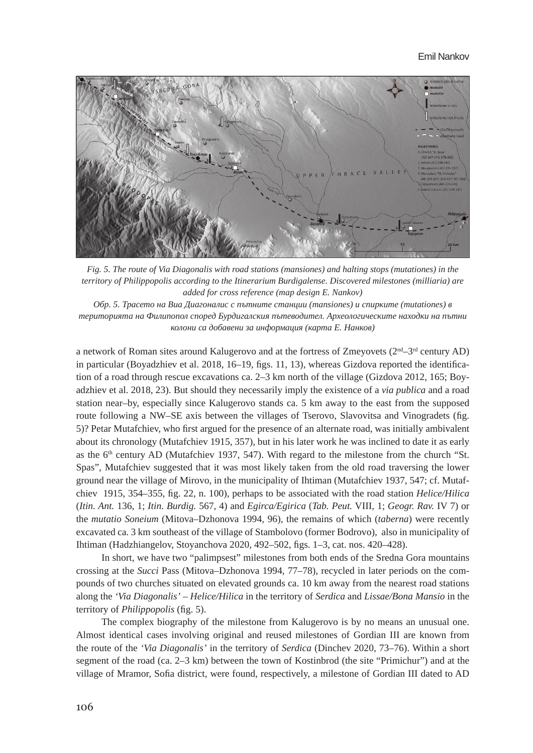#### Emil Nankov



*Fig. 5. The route of Via Diagonalis with road stations (mansiones) and halting stops (mutationes) in the territory of Philippopolis according to the Itinerarium Burdigalense. Discovered milestones (milliaria) are added for cross reference (map design E. Nankov)*

*Обр. 5. Трасето на Виа Диагоналис с пътните станции (mansiones) и спирките (mutationes) в територията на Филипопол според Бурдигалския пътеводител. Археологическите находки на пътни колони са добавени за информация (карта Е. Нанков)*

a network of Roman sites around Kalugerovo and at the fortress of Zmeyovets ( $2<sup>nd</sup>-3<sup>rd</sup>$  century AD) in particular (Boyadzhiev et al. 2018, 16–19, figs. 11, 13), whereas Gizdova reported the identification of a road through rescue excavations ca. 2–3 km north of the village (Gizdova 2012, 165; Boyadzhiev et al. 2018, 23). But should they necessarily imply the existence of a *via publica* and a road station near–by, especially since Kalugerovo stands ca. 5 km away to the east from the supposed route following a NW–SE axis between the villages of Tserovo, Slavovitsa and Vinogradets (fig. 5)? Petar Mutafchiev, who first argued for the presence of an alternate road, was initially ambivalent about its chronology (Mutafchiev 1915, 357), but in his later work he was inclined to date it as early as the  $6<sup>th</sup>$  century AD (Mutafchiev 1937, 547). With regard to the milestone from the church "St. Spas", Mutafchiev suggested that it was most likely taken from the old road traversing the lower ground near the village of Mirovo, in the municipality of Ihtiman (Mutafchiev 1937, 547; cf. Mutafchiev 1915, 354–355, fig. 22, n. 100), perhaps to be associated with the road station *Helice/Hilica* (*Itin. Ant.* 136, 1; *Itin. Burdig.* 567, 4) and *Egirca/Egirica* (*Tab. Peut.* VIII, 1; *Geogr. Rav.* IV 7) or the *mutatio Soneium* (Mitova–Dzhonova 1994, 96), the remains of which (*taberna*) were recently excavated ca. 3 km southeast of the village of Stambolovo (former Bodrovo), also in municipality of Ihtiman (Hadzhiangelov, Stoyanchova 2020, 492–502, figs. 1–3, cat. nos. 420–428).

In short, we have two "palimpsest" milestones from both ends of the Sredna Gora mountains crossing at the *Succi* Pass (Mitova–Dzhonova 1994, 77–78), recycled in later periods on the compounds of two churches situated on elevated grounds ca. 10 km away from the nearest road stations along the *'Via Diagonalis'* – *Helice/Hilica* in the territory of *Serdica* and *Lissae/Bona Mansio* in the territory of *Philippopolis* (fig. 5).

The complex biography of the milestone from Kalugerovo is by no means an unusual one. Almost identical cases involving original and reused milestones of Gordian III are known from the route of the *'Via Diagonalis'* in the territory of *Serdica* (Dinchev 2020, 73–76). Within a short segment of the road (ca. 2–3 km) between the town of Kostinbrod (the site "Primichur") and at the village of Mramor, Sofia district, were found, respectively, a milestone of Gordian III dated to AD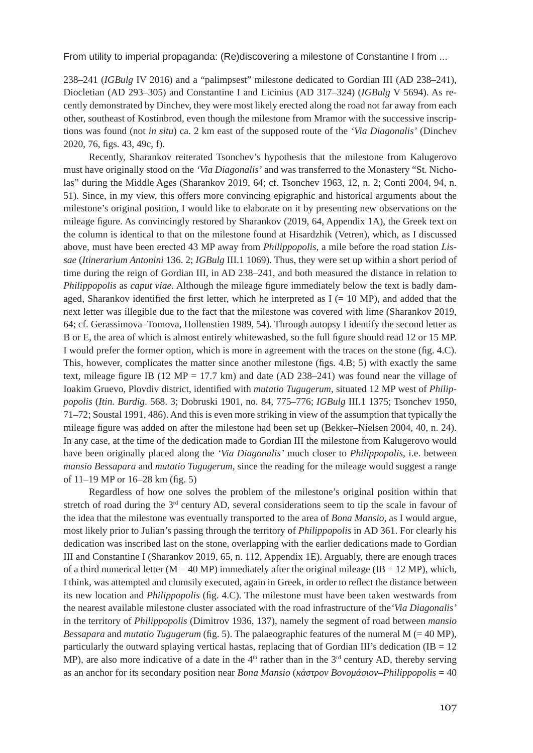238–241 (*IGBulg* IV 2016) and a "palimpsest" milestone dedicated to Gordian III (AD 238–241), Diocletian (AD 293–305) and Constantine I and Licinius (AD 317–324) (*IGBulg* V 5694). As recently demonstrated by Dinchev, they were most likely erected along the road not far away from each other, southeast of Kostinbrod, even though the milestone from Mramor with the successive inscriptions was found (not *in situ*) ca. 2 km east of the supposed route of the *'Via Diagonalis'* (Dinchev 2020, 76, figs. 43, 49c, f).

Recently, Sharankov reiterated Tsonchev's hypothesis that the milestone from Kalugerovo must have originally stood on the *'Via Diagonalis'* and was transferred to the Monastery "St. Nicholas" during the Middle Ages (Sharankov 2019, 64; cf. Tsonchev 1963, 12, n. 2; Conti 2004, 94, n. 51). Since, in my view, this offers more convincing epigraphic and historical arguments about the milestone's original position, I would like to elaborate on it by presenting new observations on the mileage figure. As convincingly restored by Sharankov (2019, 64, Appendix 1A), the Greek text on the column is identical to that on the milestone found at Hisardzhik (Vetren), which, as I discussed above, must have been erected 43 MP away from *Philippopolis*, a mile before the road station *Lissae* (*Itinerarium Antonini* 136. 2; *IGBulg* III.1 1069). Thus, they were set up within a short period of time during the reign of Gordian III, in AD 238–241, and both measured the distance in relation to *Philippopolis* as *caput viae*. Although the mileage figure immediately below the text is badly damaged, Sharankov identified the first letter, which he interpreted as  $I$  (= 10 MP), and added that the next letter was illegible due to the fact that the milestone was covered with lime (Sharankov 2019, 64; cf. Gerassimova–Tomova, Hollenstien 1989, 54). Through autopsy I identify the second letter as B or E, the area of which is almost entirely whitewashed, so the full figure should read 12 or 15 MP. I would prefer the former option, which is more in agreement with the traces on the stone (fig. 4.С). This, however, complicates the matter since another milestone (figs. 4.В; 5) with exactly the same text, mileage figure IB (12 MP = 17.7 km) and date (AD 238–241) was found near the village of Ioakim Gruevo, Plovdiv district, identified with *mutatio Tugugerum*, situated 12 MP west of *Philippopolis* (*Itin. Burdig*. 568. 3; Dobruski 1901, no. 84, 775–776; *IGBulg* III.1 1375; Tsonchev 1950, 71–72; Soustal 1991, 486). And this is even more striking in view of the assumption that typically the mileage figure was added on after the milestone had been set up (Bekker–Nielsen 2004, 40, n. 24). In any case, at the time of the dedication made to Gordian III the milestone from Kalugerovo would have been originally placed along the *'Via Diagonalis'* much closer to *Philippopolis*, i.e. between *mansio Bessapara* and *mutatio Tugugerum*, since the reading for the mileage would suggest a range of 11–19 MP or 16–28 km (fig. 5)

Regardless of how one solves the problem of the milestone's original position within that stretch of road during the 3<sup>rd</sup> century AD, several considerations seem to tip the scale in favour of the idea that the milestone was eventually transported to the area of *Bona Mansio,* as I would argue, most likely prior to Julian's passing through the territory of *Philippopolis* in AD 361. For clearly his dedication was inscribed last on the stone, overlapping with the earlier dedications made to Gordian III and Constantine I (Sharankov 2019, 65, n. 112, Appendix 1E). Arguably, there are enough traces of a third numerical letter ( $M = 40$  MP) immediately after the original mileage (IB = 12 MP), which, I think, was attempted and clumsily executed, again in Greek, in order to reflect the distance between its new location and *Philippopolis* (fig. 4.С). The milestone must have been taken westwards from the nearest available milestone cluster associated with the road infrastructure of the*'Via Diagonalis'* in the territory of *Philippopolis* (Dimitrov 1936, 137), namely the segment of road between *mansio Bessapara* and *mutatio Tugugerum* (fig. 5). The palaeographic features of the numeral M (= 40 MP), particularly the outward splaying vertical hastas, replacing that of Gordian III's dedication (IB = 12 MP), are also more indicative of a date in the  $4<sup>th</sup>$  rather than in the  $3<sup>rd</sup>$  century AD, thereby serving as an anchor for its secondary position near *Bona Mansio* (*κάστρον Βονομάσιον–Philippopolis* = 40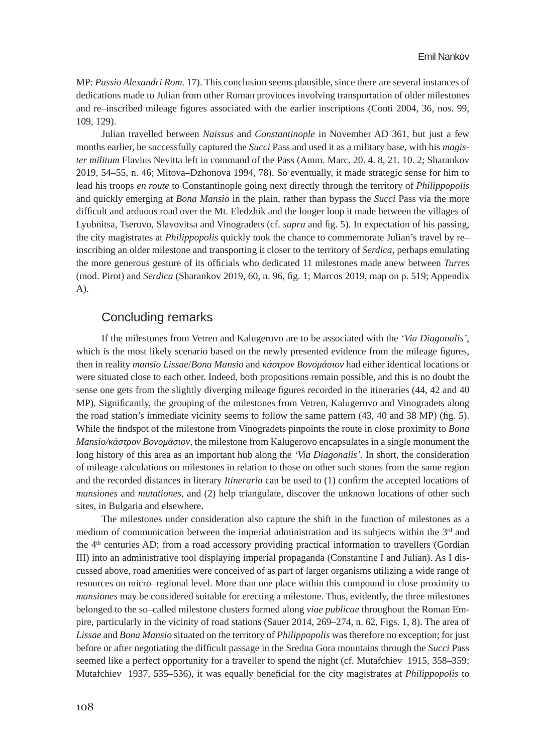MP: *Passio Alexandri Rom.* 17). This conclusion seems plausible, since there are several instances of dedications made to Julian from other Roman provinces involving transportation of older milestones and re–inscribed mileage figures associated with the earlier inscriptions (Conti 2004, 36, nos. 99, 109, 129).

Julian travelled between *Naissus* and *Constantinople* in November AD 361, but just a few months earlier, he successfully captured the *Succi* Pass and used it as a military base, with his *magister militum* Flavius Nevitta left in command of the Pass (Amm. Marc. 20. 4. 8, 21. 10. 2; Sharankov 2019, 54–55, n. 46; Mitova–Dzhonova 1994, 78). So eventually, it made strategic sense for him to lead his troops *en route* to Constantinople going next directly through the territory of *Philippopolis* and quickly emerging at *Bona Mansio* in the plain, rather than bypass the *Succi* Pass via the more difficult and arduous road over the Mt. Eledzhik and the longer loop it made between the villages of Lyubnitsa, Tserovo, Slavovitsa and Vinogradets (cf. *supra* and fig. 5). In expectation of his passing, the city magistrates at *Philippopolis* quickly took the chance to commemorate Julian's travel by re– inscribing an older milestone and transporting it closer to the territory of *Serdica*, perhaps emulating the more generous gesture of its officials who dedicated 11 milestones made anew between *Turres* (mod. Pirot) and *Serdica* (Sharankov 2019, 60, n. 96, fig. 1; Marcos 2019, map on p. 519; Appendix A).

### Concluding remarks

If the milestones from Vetren and Kalugerovo are to be associated with the *'Via Diagonalis'*, which is the most likely scenario based on the newly presented evidence from the mileage figures, then in reality *mansio Lissae*/*Bona Mansio* and *κάστρον Βονομάσιον* had either identical locations or were situated close to each other. Indeed, both propositions remain possible, and this is no doubt the sense one gets from the slightly diverging mileage figures recorded in the itineraries (44, 42 and 40 MP). Significantly, the grouping of the milestones from Vetren, Kalugerovo and Vinogradets along the road station's immediate vicinity seems to follow the same pattern (43, 40 and 38 MP) (fig. 5). While the findspot of the milestone from Vinogradets pinpoints the route in close proximity to *Bona Mansio/κάστρον Βονομάσιον*, the milestone from Kalugerovo encapsulates in a single monument the long history of this area as an important hub along the *'Via Diagonalis'*. In short, the consideration of mileage calculations on milestones in relation to those on other such stones from the same region and the recorded distances in literary *Itineraria* can be used to (1) confirm the accepted locations of *mansiones* and *mutationes*, and (2) help triangulate, discover the unknown locations of other such sites, in Bulgaria and elsewhere.

The milestones under consideration also capture the shift in the function of milestones as a medium of communication between the imperial administration and its subjects within the  $3<sup>rd</sup>$  and the 4<sup>th</sup> centuries AD; from a road accessory providing practical information to travellers (Gordian III) into an administrative tool displaying imperial propaganda (Constantine I and Julian). As I discussed above, road amenities were conceived of as part of larger organisms utilizing a wide range of resources on micro–regional level. More than one place within this compound in close proximity to *mansiones* may be considered suitable for erecting a milestone. Thus, evidently, the three milestones belonged to the so–called milestone clusters formed along *viae publicae* throughout the Roman Empire, particularly in the vicinity of road stations (Sauer 2014, 269–274, n. 62, Figs. 1, 8). The area of *Lissae* and *Bona Mansio* situated on the territory of *Philippopolis* was therefore no exception; for just before or after negotiating the difficult passage in the Sredna Gora mountains through the *Succi* Pass seemed like a perfect opportunity for a traveller to spend the night (cf. Mutafchiev 1915, 358–359; Mutafchiev 1937, 535–536), it was equally beneficial for the city magistrates at *Philippopolis* to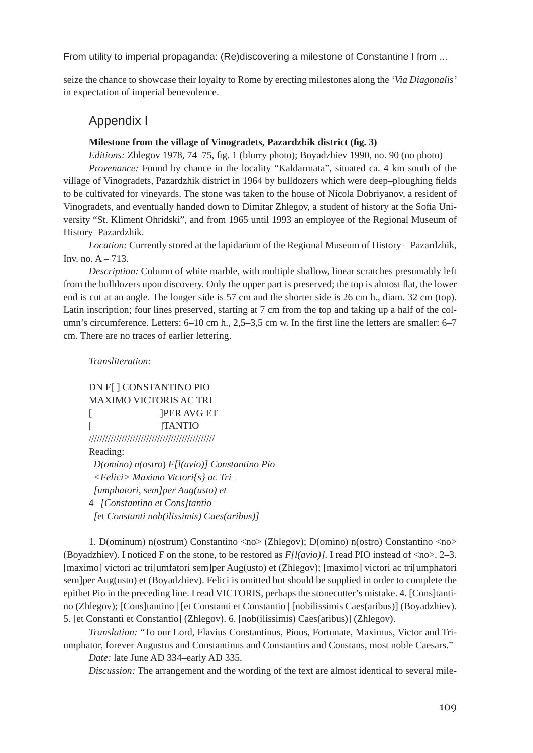seize the chance to showcase their loyalty to Rome by erecting milestones along the *'Via Diagonalis'* in expectation of imperial benevolence.

### Appendix I

#### **Milestone from the village of Vinogradets, Pazardzhik district (fig. 3)**

*Editions:* Zhlegov 1978, 74–75, fig. 1 (blurry photo); Boyadzhiev 1990, no. 90 (no photo)

*Provenance:* Found by chance in the locality "Kaldarmata", situated ca. 4 km south of the village of Vinogradets, Pazardzhik district in 1964 by bulldozers which were deep–ploughing fields to be cultivated for vineyards. The stone was taken to the house of Nicola Dobriyanov, a resident of Vinogradets, and eventually handed down to Dimitar Zhlegov, a student of history at the Sofia University "St. Kliment Ohridski", and from 1965 until 1993 an employee of the Regional Museum of History–Pazardzhik.

*Location:* Currently stored at the lapidarium of the Regional Museum of History – Pazardzhik, Inv. no.  $A - 713$ .

*Description:* Column of white marble, with multiple shallow, linear scratches presumably left from the bulldozers upon discovery. Only the upper part is preserved; the top is almost flat, the lower end is cut at an angle. The longer side is 57 cm and the shorter side is 26 cm h., diam. 32 cm (top). Latin inscription; four lines preserved, starting at 7 cm from the top and taking up a half of the column's circumference. Letters: 6–10 cm h., 2,5–3,5 cm w. In the first line the letters are smaller: 6–7 cm. There are no traces of earlier lettering.

#### *Transliteration:*

DN F[ ] CONSTANTINO PIO MAXIMO VICTORIS AC TRI [ ]PER AVG ET [ ]TANTIO //////////////////////////////////////////////

Reading:

 *D(omino) n(ostro*) *F[l(avio)] Constantino Pio <Felici> Maximo Victori{s} ac Tri– [umphatori, sem]per Aug(usto) et* 4 *[Constantino et Cons]tantio [*et *Constanti nob(ilissimis) Caes(aribus)]*

1. D(ominum) n(ostrum) Constantino <no> (Zhlegov); D(omino) n(ostro) Constantino <no> (Boyadzhiev). I noticed F on the stone, to be restored as *F[l(avio)].* I read PIO instead of <no>. 2–3. [maximo] victori ac tri[umfatori sem]per Aug(usto) et (Zhlegov); [maximo] victori ac tri[umphatori sem]per Aug(usto) et (Boyadzhiev). Felici is omitted but should be supplied in order to complete the epithet Pio in the preceding line. I read VICTORIS, perhaps the stonecutter's mistake. 4. [Cons]tantino (Zhlegov); [Cons]tantino | [et Constanti et Constantio | [nobilissimis Caes(aribus)] (Boyadzhiev). 5. [et Constanti et Constantio] (Zhlegov). 6. [nob(ilissimis) Caes(aribus)] (Zhlegov).

*Translation:* "To our Lord, Flavius Constantinus, Pious, Fortunate, Maximus, Victor and Triumphator, forever Augustus and Constantinus and Constantius and Constans, most noble Caesars."

*Date:* late June AD 334–early AD 335.

*Discussion:* The arrangement and the wording of the text are almost identical to several mile-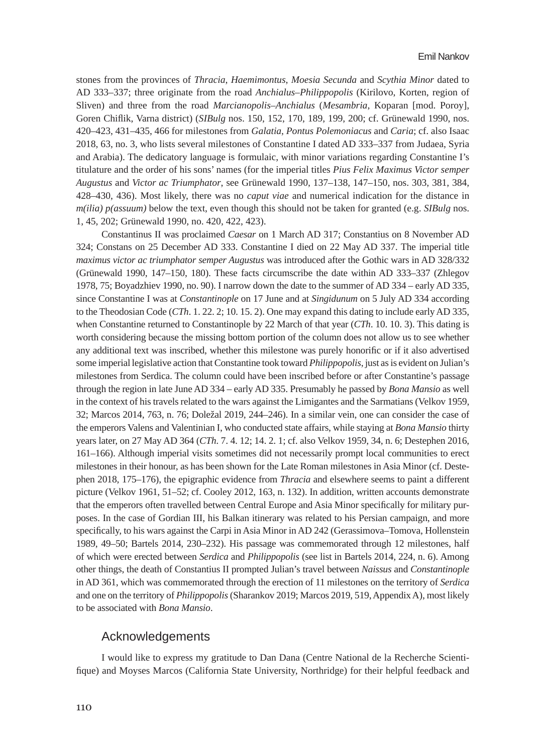stones from the provinces of *Thracia*, *Haemimontus*, *Moesia Secunda* and *Scythia Minor* dated to AD 333–337; three originate from the road *Anchialus–Philippopolis* (Kirilovo, Korten, region of Sliven) and three from the road *Marcianopolis–Anchialus* (*Mesambria*, Koparan [mod. Poroy], Goren Chiflik, Varna district) (*SIBulg* nos. 150, 152, 170, 189, 199, 200; cf. Grünewald 1990, nos. 420–423, 431–435, 466 for milestones from *Galatia*, *Pontus Polemoniacus* and *Caria*; cf. also Isaac 2018, 63, no. 3, who lists several milestones of Constantine I dated AD 333–337 from Judaea, Syria and Arabia). The dedicatory language is formulaic, with minor variations regarding Constantine I's titulature and the order of his sons' names (for the imperial titles *Pius Felix Maximus Victor semper Augustus* and *Victor ac Triumphator*, see Grünewald 1990, 137–138, 147–150, nos. 303, 381, 384, 428–430, 436). Most likely, there was no *caput viae* and numerical indication for the distance in *m(ilia) p(assuum)* below the text, even though this should not be taken for granted (e.g. *SIBulg* nos. 1, 45, 202; Grünewald 1990, no. 420, 422, 423).

Constantinus II was proclaimed *Caesar* on 1 March AD 317; Constantius on 8 November AD 324; Constans on 25 December AD 333. Constantine I died on 22 May AD 337. The imperial title *maximus victor ac triumphator semper Augustus* was introduced after the Gothic wars in AD 328/332 (Grünewald 1990, 147–150, 180). These facts circumscribe the date within AD 333–337 (Zhlegov 1978, 75; Boyadzhiev 1990, no. 90). I narrow down the date to the summer of AD 334 – early AD 335, since Constantine I was at *Constantinople* on 17 June and at *Singidunum* on 5 July AD 334 according to the Theodosian Code (*CTh*. 1. 22. 2; 10. 15. 2). One may expand this dating to include early AD 335, when Constantine returned to Constantinople by 22 March of that year (*CTh*. 10. 10. 3). This dating is worth considering because the missing bottom portion of the column does not allow us to see whether any additional text was inscribed, whether this milestone was purely honorific or if it also advertised some imperial legislative action that Constantine took toward *Philippopolis*, just as is evident on Julian's milestones from Serdica. The column could have been inscribed before or after Constantine's passage through the region in late June AD 334 – early AD 335. Presumably he passed by *Bona Mansio* as well in the context of his travels related to the wars against the Limigantes and the Sarmatians (Velkov 1959, 32; Marcos 2014, 763, n. 76; Doležal 2019, 244–246). In a similar vein, one can consider the case of the emperors Valens and Valentinian I, who conducted state affairs, while staying at *Bona Mansio* thirty years later, on 27 May AD 364 (*CTh*. 7. 4. 12; 14. 2. 1; cf. also Velkov 1959, 34, n. 6; Destephen 2016, 161–166). Although imperial visits sometimes did not necessarily prompt local communities to erect milestones in their honour, as has been shown for the Late Roman milestones in Asia Minor (cf. Destephen 2018, 175–176), the epigraphic evidence from *Thracia* and elsewhere seems to paint a different picture (Velkov 1961, 51–52; cf. Cooley 2012, 163, n. 132). In addition, written accounts demonstrate that the emperors often travelled between Central Europe and Asia Minor specifically for military purposes. In the case of Gordian III, his Balkan itinerary was related to his Persian campaign, and more specifically, to his wars against the Carpi in Asia Minor in AD 242 (Gerassimova–Tomova, Hollenstein 1989, 49–50; Bartels 2014, 230–232). His passage was commemorated through 12 milestones, half of which were erected between *Serdica* and *Philippopolis* (see list in Bartels 2014, 224, n. 6). Among other things, the death of Constantius II prompted Julian's travel between *Naissus* and *Constantinople* in AD 361, which was commemorated through the erection of 11 milestones on the territory of *Serdica* and one on the territory of *Philippopolis* (Sharankov 2019; Marcos 2019, 519, Appendix A), most likely to be associated with *Bona Mansio*.

#### Acknowledgements

I would like to express my gratitude to Dan Dana (Centre National de la Recherche Scientifique) and Moyses Marcos (California State University, Northridge) for their helpful feedback and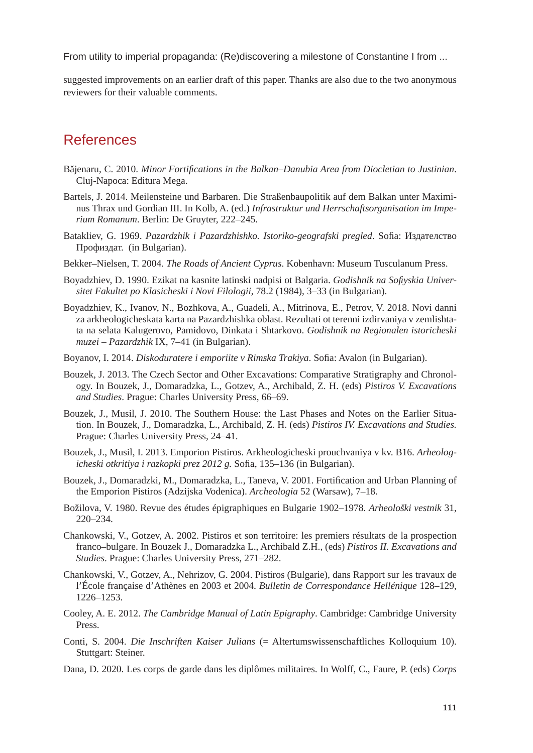suggested improvements on an earlier draft of this paper. Thanks are also due to the two anonymous reviewers for their valuable comments.

### References

- Băjenaru, C. 2010. *Minor Fortifications in the Balkan–Danubia Area from Diocletian to Justinian*. Cluj-Napoca: Editura Mega.
- Bartels, J. 2014. Meilensteine und Barbaren. Die Straßenbaupolitik auf dem Balkan unter Maximinus Thrax und Gordian III. In Kolb, A. (ed.) *Infrastruktur und Herrschaftsorganisation im Imperium Romanum*. Berlin: De Gruyter, 222–245.
- Batakliev, G. 1969. *Pazardzhik i Pazardzhishko. Istoriko-geografski pregled*. Sofia: Издателство Профиздат. (in Bulgarian).
- Bekker–Nielsen, T. 2004. *The Roads of Ancient Cyprus*. Kobenhavn: Museum Tusculanum Press.
- Boyadzhiev, D. 1990. Ezikat na kasnite latinski nadpisi ot Balgaria. *Godishnik na Sofiyskia Universitet Fakultet po Klasicheski i Novi Filologii*, 78.2 (1984), 3–33 (in Bulgarian).
- Boyadzhiev, K., Ivanov, N., Bozhkova, A., Guadeli, A., Mitrinova, E., Petrov, V. 2018. Novi danni za arkheologicheskata karta na Pazardzhishka oblast. Rezultati ot terenni izdirvaniya v zemlishtata na selata Kalugerovo, Pamidovo, Dinkata i Shtarkovo. *Godishnik na Regionalen istoricheski muzei – Pazardzhik* IX, 7–41 (in Bulgarian).
- Boyanov, I. 2014. *Diskoduratere i emporiite v Rimska Trakiya*. Sofia: Avalon (in Bulgarian).
- Bouzek, J. 2013. The Czech Sector and Other Excavations: Comparative Stratigraphy and Chronology. In Bouzek, J., Domaradzka, L., Gotzev, A., Archibald, Z. H. (eds) *Pistiros V. Excavations and Studies*. Prague: Charles University Press, 66–69.
- Bouzek, J., Musil, J. 2010. The Southern House: the Last Phases and Notes on the Earlier Situation. In Bouzek, J., Domaradzka, L., Archibald, Z. H. (eds) *Pistiros IV. Excavations and Studies.* Prague: Charles University Press, 24–41.
- Bouzek, J., Musil, I. 2013. Emporion Pistiros. Arkheologicheski prouchvaniya v kv. B16. *Arheologicheski otkritiya i razkopki prez 2012 g.* Sofia, 135–136 (in Bulgarian).
- Bouzek, J., Domaradzki, M., Domaradzka, L., Taneva, V. 2001. Fortification and Urban Planning of the Emporion Pistiros (Adzijska Vodenica). *Archeologia* 52 (Warsaw), 7–18.
- Božilova, V. 1980. Revue des études épigraphiques en Bulgarie 1902–1978. *Arheološki vestnik* 31, 220–234.
- Chankowski, V., Gotzev, A. 2002. Pistiros et son territoire: les premiers résultats de la prospection franco–bulgare. In Bouzek J., Domaradzka L., Archibald Z.H., (eds) *Pistiros II. Excavations and Studies*. Prague: Charles University Press, 271–282.
- Chankowski, V., Gotzev, A., Nehrizov, G. 2004. Pistiros (Bulgarie), dans Rapport sur les travaux de l'École française d'Athènes en 2003 et 2004. *Bulletin de Correspondance Hellénique* 128–129, 1226–1253.
- Cooley, A. E. 2012. *The Cambridge Manual of Latin Epigraphy*. Cambridge: Cambridge University Press.
- Conti, S. 2004. *Die Inschriften Kaiser Julians* (= Altertumswissenschaftliches Kolloquium 10). Stuttgart: Steiner.
- Dana, D. 2020. Les corps de garde dans les diplômes militaires. In Wolff, C., Faure, P. (eds) *Corps*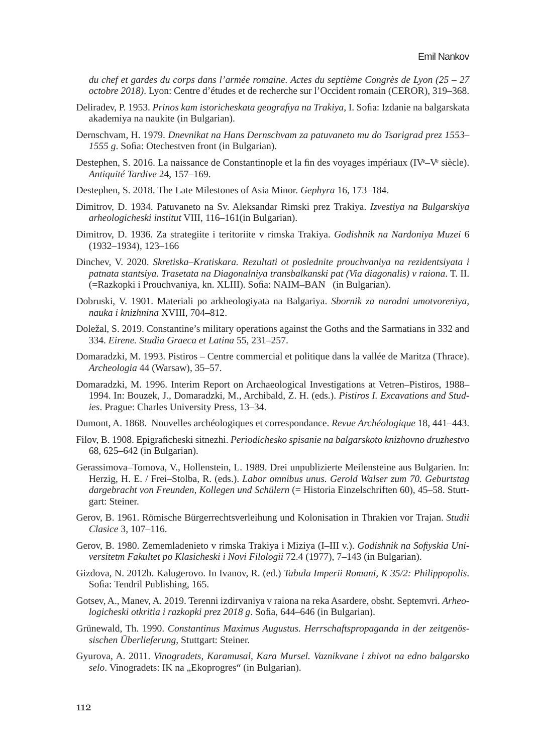*du chef et gardes du corps dans l'armée romaine. Actes du septième Congrès de Lyon (25 – 27 octobre 2018)*. Lyon: Centre d'études et de recherche sur l'Occident romain (CEROR), 319–368.

- Deliradev, P. 1953. *Prinos kam istoricheskata geografiya na Trakiya*, I. Sofia: Izdanie na balgarskata akademiya na naukite (in Bulgarian).
- Dernschvam, H. 1979. *Dnevnikat na Hans Dernschvam za patuvaneto mu do Tsarigrad prez 1553– 1555 g*. Sofia: Otechestven front (in Bulgarian).
- Destephen, S. 2016. La naissance de Constantinople et la fin des voyages impériaux (IV<sup>e</sup>-V<sup>e</sup> siècle). *Antiquité Tardive* 24, 157–169.
- Destephen, S. 2018. The Late Milestones of Asia Minor. *Gephyra* 16, 173–184.
- Dimitrov, D. 1934. Patuvaneto na Sv. Aleksandar Rimski prez Trakiya. *Izvestiya na Bulgarskiya arheologicheski institut* VIII, 116–161(in Bulgarian).
- Dimitrov, D. 1936. Za strategiite i teritoriite v rimska Trakiya. *Godishnik na Nardoniya Muzei* 6 (1932–1934), 123–166
- Dinchev, V. 2020. *Skretiska–Kratiskara. Rezultati ot poslednite prouchvaniya na rezidentsiyata i patnata stantsiya. Trasetata na Diagonalniya transbalkanski pat (Via diagonalis) v raiona*. T. II. (=Razkopki i Prouchvaniya, kn. XLIII). Sofia: NAIM–BAN (in Bulgarian).
- Dobruski, V. 1901. Materiali po arkheologiyata na Balgariya. *Sbornik za narodni umotvoreniya, nauka i knizhnina* XVIII, 704–812.
- Doležal, S. 2019. Constantine's military operations against the Goths and the Sarmatians in 332 and 334. *Eirene. Studia Graeca et Latina* 55, 231–257.
- Domaradzki, M. 1993. Pistiros Centre commercial et politique dans la vallée de Maritza (Thrace). *Archeologia* 44 (Warsaw), 35–57.
- Domaradzki, M. 1996. Interim Report on Archaeological Investigations at Vetren–Pistiros, 1988– 1994. In: Bouzek, J., Domaradzki, M., Archibald, Z. H. (eds.). *Pistiros I. Excavations and Studies*. Prague: Charles University Press, 13–34.
- Dumont, A. 1868. Nouvelles archéologiques et correspondance. *Revue Archéologique* 18, 441–443.
- Filov, B. 1908. Epigraficheski sitnezhi. *Periodichesko spisanie na balgarskoto knizhovno druzhestvo* 68, 625–642 (in Bulgarian).
- Gerassimova–Tomova, V., Hollenstein, L. 1989. Drei unpublizierte Meilensteine aus Bulgarien. In: Herzig, H. E. / Frei–Stolba, R. (eds.). *Labor omnibus unus. Gerold Walser zum 70. Geburtstag dargebracht von Freunden, Kollegen und Schülern* (= Historia Einzelschriften 60), 45–58. Stuttgart: Steiner.
- Gerov, B. 1961. Römische Bürgerrechtsverleihung und Kolonisation in Thrakien vor Trajan. *Studii Clasice* 3, 107–116.
- Gerov, B. 1980. Zememladenieto v rimska Trakiya i Miziya (I–III v.). *Godishnik na Sofiyskia Universitetm Fakultet po Klasicheski i Novi Filologii* 72.4 (1977), 7–143 (in Bulgarian).
- Gizdova, N. 2012b. Kalugerovo. In Ivanov, R. (ed.) *Tabula Imperii Romani, K 35/2: Philippopolis*. Sofia: Tendril Publishing, 165.
- Gotsev, A., Manev, A. 2019. Terenni izdirvaniya v raiona na reka Asardere, obsht. Septemvri. *Arheologicheski otkritia i razkopki prez 2018 g*. Sofia, 644–646 (in Bulgarian).
- Grünewald, Th. 1990. *Constantinus Maximus Augustus. Herrschaftspropaganda in der zeitgenössischen Überlieferung*, Stuttgart: Steiner.
- Gyurova, A. 2011. *Vinogradets, Karamusal, Kara Mursel. Vaznikvane i zhivot na edno balgarsko*  selo. Vinogradets: IK na "Ekoprogres" (in Bulgarian).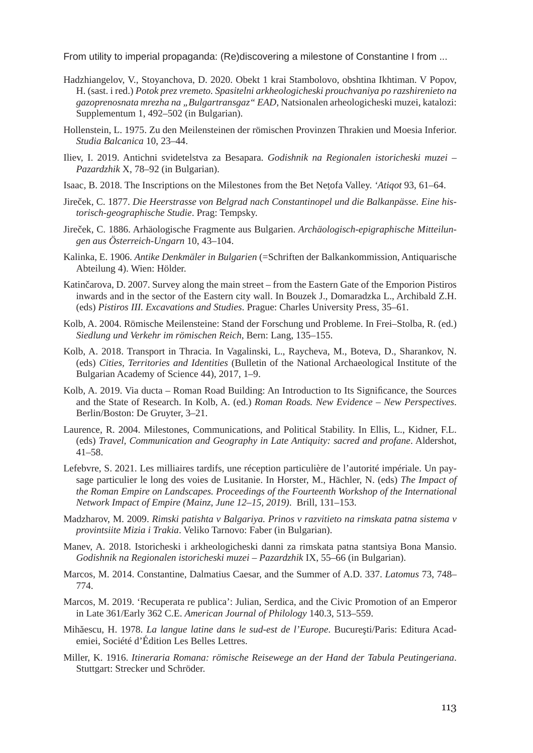- Hadzhiangelov, V., Stoyanchova, D. 2020. Obekt 1 krai Stambolovo, obshtina Ikhtiman. V Popov, H. (sast. i red.) *Potok prez vremeto. Spasitelni arkheologicheski prouchvaniya po razshirenieto na gazoprenosnata mrezha na "Bulgartransgaz" EAD*, Natsionalen arheologicheski muzei, katalozi: Supplementum 1, 492–502 (in Bulgarian).
- Hollenstein, L. 1975. Zu den Meilensteinen der römischen Provinzen Thrakien und Moesia Inferior. *Studia Balcanica* 10, 23–44.
- Iliev, I. 2019. Antichni svidetelstva za Besapara. *Godishnik na Regionalen istoricheski muzei Pazardzhik* X, 78–92 (in Bulgarian).
- Isaac, B. 2018. The Inscriptions on the Milestones from the Bet Neṭofa Valley. *'Atiqot* 93, 61–64.
- Jireček, C. 1877. *Die Heerstrasse von Belgrad nach Constantinopel und die Balkanpässe. Eine historisch-geographische Studie*. Prag: Tempsky.
- Jireček, C. 1886. Arhäologische Fragmente aus Bulgarien. *Archäologisch-epigraphische Mitteilungen aus Österreich-Ungarn* 10, 43–104.
- Kalinka, E. 1906. *Antike Denkmäler in Bulgarien* (=Schriften der Balkankommission, Antiquarische Abteilung 4). Wien: Hölder.
- Katinčarova, D. 2007. Survey along the main street from the Eastern Gate of the Emporion Pistiros inwards and in the sector of the Eastern city wall. In Bouzek J., Domaradzka L., Archibald Z.H. (eds) *Pistiros III. Excavations and Studies*. Prague: Charles University Press, 35–61.
- Kolb, A. 2004. Römische Meilensteine: Stand der Forschung und Probleme. In Frei–Stolba, R. (ed.) *Siedlung und Verkehr im römischen Reich*, Bern: Lang, 135–155.
- Kolb, A. 2018. Transport in Thracia. In Vagalinski, L., Raycheva, M., Boteva, D., Sharankov, N. (eds) *Cities, Territories and Identities* (Bulletin of the National Archaeological Institute of the Bulgarian Academy of Science 44), 2017, 1–9.
- Kolb, A. 2019. Via ducta Roman Road Building: An Introduction to Its Significance, the Sources and the State of Research. In Kolb, A. (ed.) *Roman Roads. New Evidence – New Perspectives*. Berlin/Boston: De Gruyter, 3–21.
- Laurence, R. 2004. Milestones, Communications, and Political Stability. In Ellis, L., Kidner, F.L. (eds) *Travel, Communication and Geography in Late Antiquity: sacred and profane*. Aldershot, 41–58.
- Lefebvre, S. 2021. Les milliaires tardifs, une réception particulière de l'autorité impériale. Un paysage particulier le long des voies de Lusitanie. In Horster, M., Hächler, N. (eds) *The Impact of the Roman Empire on Landscapes. Proceedings of the Fourteenth Workshop of the International Network Impact of Empire (Mainz, June 12–15, 2019)*. Brill, 131–153.
- Madzharov, M. 2009. *Rimski patishta v Balgariya. Prinos v razvitieto na rimskata patna sistema v provintsiite Mizia i Trakia*. Veliko Tarnovo: Faber (in Bulgarian).
- Manev, A. 2018. Istoricheski i arkheologicheski danni za rimskata patna stantsiya Bona Mansio. *Godishnik na Regionalen istoricheski muzei – Pazardzhik* IX, 55–66 (in Bulgarian).
- Marcos, M. 2014. Constantine, Dalmatius Caesar, and the Summer of A.D. 337. *Latomus* 73, 748– 774.
- Marcos, M. 2019. 'Recuperata re publica': Julian, Serdica, and the Civic Promotion of an Emperor in Late 361/Early 362 C.E. *American Journal of Philology* 140.3, 513–559.
- Mihăescu, H. 1978. *La langue latine dans le sud-est de l'Europe*. Bucureşti/Paris: Editura Academiei, Société d'Édition Les Belles Lettres.
- Miller, K. 1916. *Itineraria Romana: römische Reisewege an der Hand der Tabula Peutingeriana*. Stuttgart: Strecker und Schröder.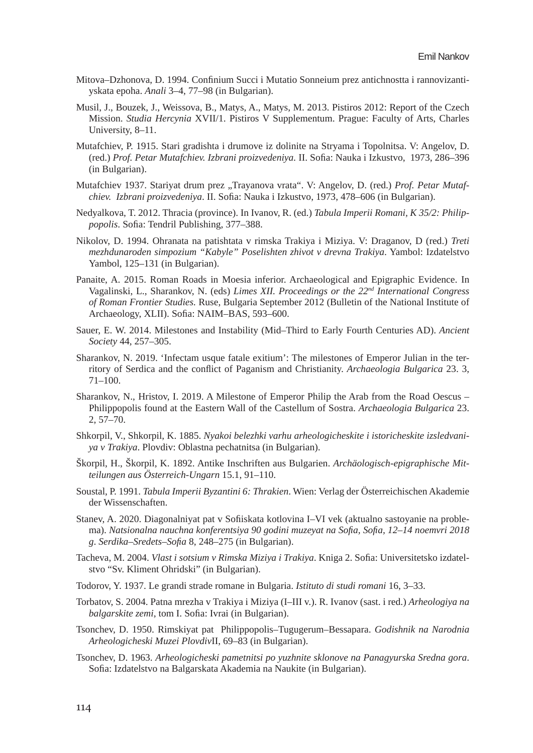- Mitova–Dzhonova, D. 1994. Confinium Succi i Mutatio Sonneium prez antichnostta i rannovizantiyskata epoha. *Anali* 3–4, 77–98 (in Bulgarian).
- Musil, J., Bouzek, J., Weissova, B., Matys, A., Matys, M. 2013. Pistiros 2012: Report of the Czech Mission. *Studia Hercynia* XVII/1. Pistiros V Supplementum. Prague: Faculty of Arts, Charles University, 8–11.
- Mutafchiev, P. 1915. Stari gradishta i drumove iz dolinite na Stryama i Topolnitsa. V: Angelov, D. (red.) *Prof. Petar Mutafchiev. Izbrani proizvedeniya.* II. Sofia: Nauka i Izkustvo, 1973, 286–396 (in Bulgarian).
- Mutafchiev 1937. Stariyat drum prez "Trayanova vrata". V: Angelov, D. (red.) Prof. Petar Mutaf*chiev. Izbrani proizvedeniya*. II. Sofia: Nauka i Izkustvo, 1973, 478–606 (in Bulgarian).
- Nedyalkova, T. 2012. Thracia (province). In Ivanov, R. (ed.) *Tabula Imperii Romani, K 35/2: Philippopolis*. Sofia: Tendril Publishing, 377–388.
- Nikolov, D. 1994. Ohranata na patishtata v rimska Trakiya i Miziya. V: Draganov, D (red.) *Treti mezhdunaroden simpozium "Kabyle" Poselishten zhivot v drevna Trakiya*. Yambol: Izdatelstvo Yambol, 125–131 (in Bulgarian).
- Panaite, A. 2015. Roman Roads in Moesia inferior. Archaeological and Epigraphic Evidence. In Vagalinski, L., Sharankov, N. (eds) *Limes XII. Proceedings or the 22nd International Congress of Roman Frontier Studies.* Ruse, Bulgaria September 2012 (Bulletin of the National Institute of Archaeology, XLII). Sofia: NAIM–BAS, 593–600.
- Sauer, E. W. 2014. Milestones and Instability (Mid–Third to Early Fourth Centuries AD). *Ancient Society* 44, 257–305.
- Sharankov, N. 2019. 'Infectam usque fatale exitium': The milestones of Emperor Julian in the territory of Serdica and the conflict of Paganism and Christianity. *Archaeologia Bulgarica* 23. 3, 71–100.
- Sharankov, N., Hristov, I. 2019. A Milestone of Emperor Philip the Arab from the Road Oescus Philippopolis found at the Eastern Wall of the Castellum of Sostra. *Archaeologia Bulgarica* 23. 2, 57–70.
- Shkorpil, V., Shkorpil, K. 1885. *Nyakoi belezhki varhu arheologicheskite i istoricheskite izsledvaniya v Trakiya*. Plovdiv: Oblastna pechatnitsa (in Bulgarian).
- Škorpil, H., Škorpil, K. 1892. Antike Inschriften aus Bulgarien. *Archäologisch-epigraphische Mitteilungen aus Österreich-Ungarn* 15.1, 91–110.
- Soustal, P. 1991. *Tabula Imperii Byzantini 6: Thrakien*. Wien: Verlag der Österreichischen Akademie der Wissenschaften.
- Stanev, A. 2020. Diagonalniyat pat v Sofiiskata kotlovina I–VI vek (aktualno sastoyanie na problema). *Natsionalna nauchna konferentsiya 90 godini muzeyat na Sofia, Sofia, 12–14 noemvri 2018 g*. *Serdika–Sredets–Sofia* 8, 248–275 (in Bulgarian).
- Tacheva, M. 2004. *Vlast i sotsium v Rimska Miziya i Trakiya*. Kniga 2. Sofia: Universitetsko izdatelstvo "Sv. Kliment Ohridski" (in Bulgarian).
- Todorov, Y. 1937. Le grandi strade romane in Bulgaria. *Istituto di studi romani* 16, 3–33.
- Torbatov, S. 2004. Patna mrezha v Trakiya i Miziya (I–III v.). R. Ivanov (sast. i red.) *Arheologiya na balgarskite zemi*, tom I. Sofia: Ivrai (in Bulgarian).
- Tsonchev, D. 1950. Rimskiyat pat Philippopolis–Tugugerum–Bessapara. *Godishnik na Narodnia Arheologicheski Muzei Plovdiv*II, 69–83 (in Bulgarian).
- Tsonchev, D. 1963. *Arheologicheski pametnitsi po yuzhnite sklonove na Panagyurska Sredna gora*. Sofia: Izdatelstvo na Balgarskata Akademia na Naukite (in Bulgarian).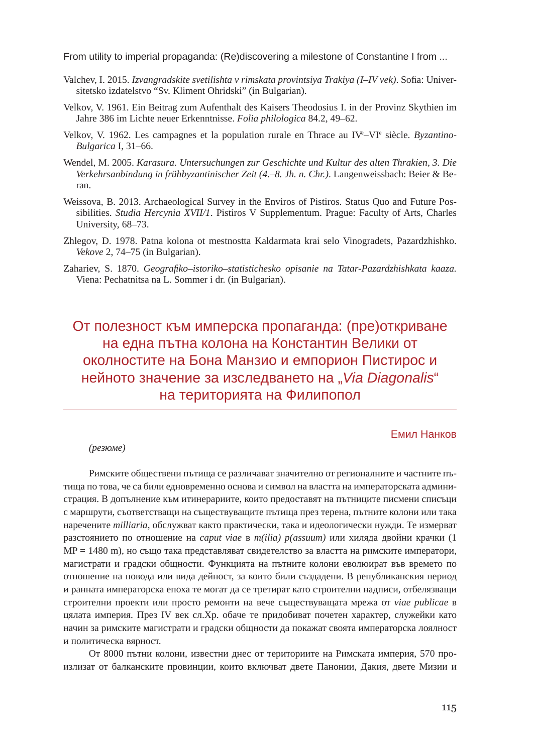- Valchev, I. 2015. *Izvangradskite svetilishta v rimskata provintsiya Trakiya (I–IV vek)*. Sofia: Universitetsko izdatelstvo "Sv. Kliment Ohridski" (in Bulgarian).
- Velkov, V. 1961. Ein Beitrag zum Aufenthalt des Kaisers Theodosius I. in der Provinz Skythien im Jahre 386 im Lichte neuer Erkenntnisse. *Folia philologica* 84.2, 49–62.
- Velkov, V. 1962. Les campagnes et la population rurale en Thrace au IV<sup>e</sup>-VI<sup>e</sup> siècle. Byzantino-*Bulgarica* I, 31–66.
- Wendel, M. 2005. *Karasura. Untersuchungen zur Geschichte und Kultur des alten Thrakien, 3. Die Verkehrsanbindung in frühbyzantinischer Zeit (4.–8. Jh. n. Chr.)*. Langenweissbach: Beier & Beran.
- Weissova, B. 2013. Archaeological Survey in the Enviros of Pistiros. Status Quo and Future Possibilities. *Studia Hercynia XVII/1*. Pistiros V Supplementum. Prague: Faculty of Arts, Charles University, 68–73.
- Zhlegov, D. 1978. Patna kolona ot mestnostta Kaldarmata krai selo Vinogradets, Pazardzhishko. *Vekove* 2, 74–75 (in Bulgarian).
- Zahariev, S. 1870. *Geografiko–istoriko–statistichesko opisanie na Tatar-Pazardzhishkata kaaza.* Viena: Pechatnitsa na L. Sommer i dr. (in Bulgarian).

# От полезност към имперска пропаганда: (пре)откриване на една пътна колона на Константин Велики от околностите на Бона Манзио и емпорион Пистирос и нейното значение за изследването на "*Via Diagonalis*" на територията на Филипопол

#### Емил Нанков

#### *(резюме)*

Римските обществени пътища се различават значително от регионалните и частните пътища по това, че са били едновременно основа и символ на властта на императорската администрация. В допълнение към итинерариите, които предоставят на пътниците писмени списъци с маршрути, съответстващи на съществуващите пътища през терена, пътните колони или така наречените *milliaria*, обслужват както практически, така и идеологически нужди. Те измерват разстоянието по отношение на *caput viae* в *m(ilia) p(assuum)* или хиляда двойни крачки (1 MP = 1480 m), но също така представляват свидетелство за властта на римските императори, магистрати и градски общности. Функцията на пътните колони еволюират във времето по отношение на повода или вида дейност, за които били създадени. В републиканския период и ранната императорска епоха те могат да се третират като строителни надписи, отбелязващи строителни проекти или просто ремонти на вече съществуващата мрежа от *viae publicae* в цялата империя. През IV век сл.Хр. обаче те придобиват почетен характер, служейки като начин за римските магистрати и градски общности да покажат своята императорска лоялност и политическа вярност.

От 8000 пътни колони, известни днес от териториите на Римската империя, 570 произлизат от балканските провинции, които включват двете Панонии, Дакия, двете Мизии и